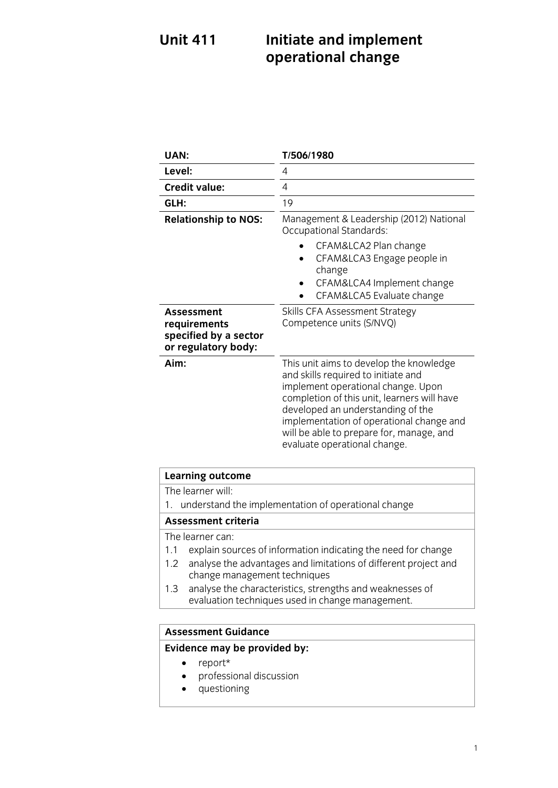## **Unit 411 Unit 1211 Incredict and incredicts** and incredicts and incredicts and incredicts and incredicts and incredicts and incredicts and incredicts and incredicts and incredicts and incredicts and incredicts and incredicts and **operational change**

| UAN:                                                                              | T/506/1980                                                                                                                                                                                                                                                                                                                       |
|-----------------------------------------------------------------------------------|----------------------------------------------------------------------------------------------------------------------------------------------------------------------------------------------------------------------------------------------------------------------------------------------------------------------------------|
| Level:                                                                            | 4                                                                                                                                                                                                                                                                                                                                |
| <b>Credit value:</b>                                                              | 4                                                                                                                                                                                                                                                                                                                                |
| GLH:                                                                              | 19                                                                                                                                                                                                                                                                                                                               |
| <b>Relationship to NOS:</b>                                                       | Management & Leadership (2012) National<br><b>Occupational Standards:</b>                                                                                                                                                                                                                                                        |
|                                                                                   | CFAM&LCA2 Plan change<br>CFAM&LCA3 Engage people in<br>change<br>CFAM&LCA4 Implement change<br>CFAM&LCA5 Evaluate change                                                                                                                                                                                                         |
| <b>Assessment</b><br>requirements<br>specified by a sector<br>or regulatory body: | Skills CFA Assessment Strategy<br>Competence units (S/NVQ)                                                                                                                                                                                                                                                                       |
| Aim:                                                                              | This unit aims to develop the knowledge<br>and skills required to initiate and<br>implement operational change. Upon<br>completion of this unit, learners will have<br>developed an understanding of the<br>implementation of operational change and<br>will be able to prepare for, manage, and<br>evaluate operational change. |

## **Learning outcome**<br>The learner will:

1. understand the implementation of operational change

### Assessment criteria

The learner can:

- 1.1 explain sources of information indicating the need for change
- 1.2 analyse the advantages and limitations of different project and change management techniques
- analyse the characteristics, strengths and weaknesses of 1.3 analyse the characteristics, strengths and weaknesse<br>evaluation techniques used in change management. evaluation techniques used in change management.

### **Assessment Guidance Evidence may be provided by:**

- report\*<br>• profess
- professional discussion<br>• questioning
- questioning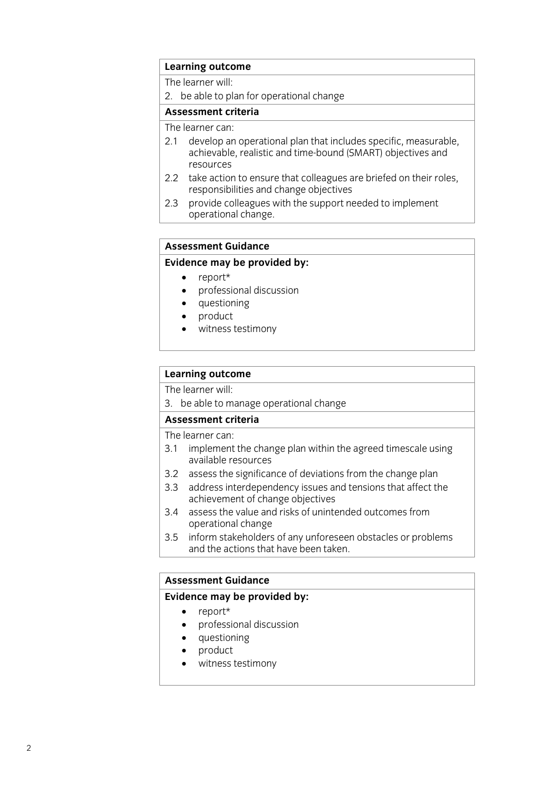## **Learning outcome**<br>The learner will:

2. be able to plan for operational change

### Assessment criteria

The learner can:

- 2.1 develop an operational plan that includes specific, measurable, achievable, realistic and time-bound (SMART) objectives and resources
- 2.2 take action to ensure that colleagues are briefed on their roles, responsibilities and change objectives
- provide colleagues with the support needed to implement  $2.3$ operational change. operational change.

# **Assessment Guidance**

- 
- **Evidence** may be proport that the manufacture of the proport of the proport of the proport of the proport of the proport of the proport of the proport of the proport of the proport of the proport of the proport of the pro • professional discussion<br>• questioning
	- questioning<br>• product
	- product<br>• witness
	- witness testimony

## **Learning outcome**<br>The learner will:

3. be able to manage operational change

### Assessment criteria

The learner can:

- 3.1 implement the change plan within the agreed timescale using available resources
- 3.2 assess the significance of deviations from the change plan
- 3.3 address interdependency issues and tensions that affect the achievement of change objectives
- 3.4 assess the value and risks of unintended outcomes from operational change
- 3.5 inform stakeholders of any unforeseen obstacles or problems and the actions that have been taken. and the actions that have been taken taken. The actions that have been taken taken taken the second

## **Assessment Guidance<br>Evidence may be provided by:**

- 
- **Evidence**<br> **Evidence** may be professional discussion • professional discussion<br>• questioning
	- questioning<br>product
	- product
	- witness testimony